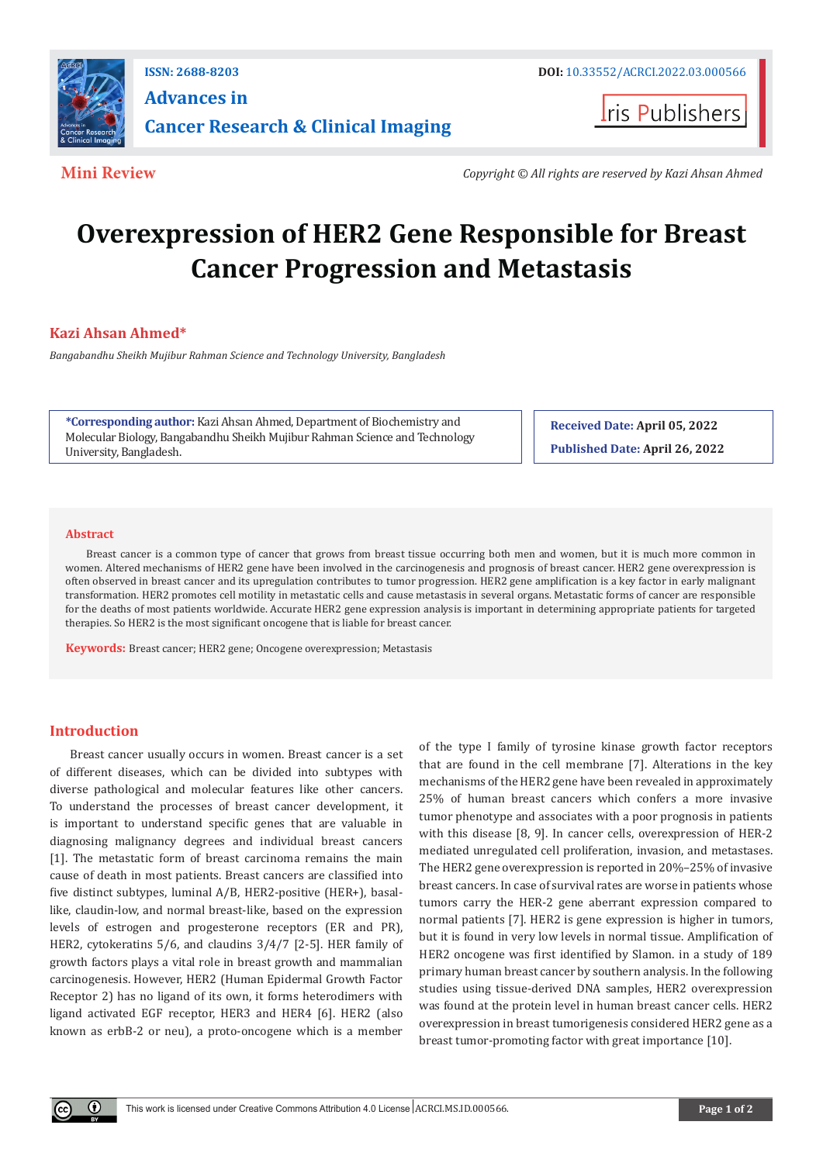

## **ISSN: 2688-8203 DOI:** [10.33552/ACRCI.2022.03.000566](http://dx.doi.org/10.33552/ACRCI.2022.03.000566) **Advances in Cancer Research & Clinical Imaging**

**I**ris Publishers

**Mini Review** *Copyright © All rights are reserved by Kazi Ahsan Ahmed*

# **Overexpression of HER2 Gene Responsible for Breast Cancer Progression and Metastasis**

### **Kazi Ahsan Ahmed\***

*Bangabandhu Sheikh Mujibur Rahman Science and Technology University, Bangladesh* 

**\*Corresponding author:** Kazi Ahsan Ahmed, Department of Biochemistry and Molecular Biology, Bangabandhu Sheikh Mujibur Rahman Science and Technology University, Bangladesh.

**Received Date: April 05, 2022 Published Date: April 26, 2022**

#### **Abstract**

Breast cancer is a common type of cancer that grows from breast tissue occurring both men and women, but it is much more common in women. Altered mechanisms of HER2 gene have been involved in the carcinogenesis and prognosis of breast cancer. HER2 gene overexpression is often observed in breast cancer and its upregulation contributes to tumor progression. HER2 gene amplification is a key factor in early malignant transformation. HER2 promotes cell motility in metastatic cells and cause metastasis in several organs. Metastatic forms of cancer are responsible for the deaths of most patients worldwide. Accurate HER2 gene expression analysis is important in determining appropriate patients for targeted therapies. So HER2 is the most significant oncogene that is liable for breast cancer.

**Keywords:** Breast cancer; HER2 gene; Oncogene overexpression; Metastasis

#### **Introduction**

 $^\copyright$ 

Breast cancer usually occurs in women. Breast cancer is a set of different diseases, which can be divided into subtypes with diverse pathological and molecular features like other cancers. To understand the processes of breast cancer development, it is important to understand specific genes that are valuable in diagnosing malignancy degrees and individual breast cancers [1]. The metastatic form of breast carcinoma remains the main cause of death in most patients. Breast cancers are classified into five distinct subtypes, luminal A/B, HER2-positive (HER+), basallike, claudin-low, and normal breast-like, based on the expression levels of estrogen and progesterone receptors (ER and PR), HER2, cytokeratins 5/6, and claudins 3/4/7 [2-5]. HER family of growth factors plays a vital role in breast growth and mammalian carcinogenesis. However, HER2 (Human Epidermal Growth Factor Receptor 2) has no ligand of its own, it forms heterodimers with ligand activated EGF receptor, HER3 and HER4 [6]. HER2 (also known as erbB-2 or neu), a proto-oncogene which is a member

of the type I family of tyrosine kinase growth factor receptors that are found in the cell membrane [7]. Alterations in the key mechanisms of the HER2 gene have been revealed in approximately 25% of human breast cancers which confers a more invasive tumor phenotype and associates with a poor prognosis in patients with this disease [8, 9]. In cancer cells, overexpression of HER-2 mediated unregulated cell proliferation, invasion, and metastases. The HER2 gene overexpression is reported in 20%–25% of invasive breast cancers. In case of survival rates are worse in patients whose tumors carry the HER-2 gene aberrant expression compared to normal patients [7]. HER2 is gene expression is higher in tumors, but it is found in very low levels in normal tissue. Amplification of HER2 oncogene was first identified by Slamon. in a study of 189 primary human breast cancer by southern analysis. In the following studies using tissue-derived DNA samples, HER2 overexpression was found at the protein level in human breast cancer cells. HER2 overexpression in breast tumorigenesis considered HER2 gene as a breast tumor-promoting factor with great importance [10].